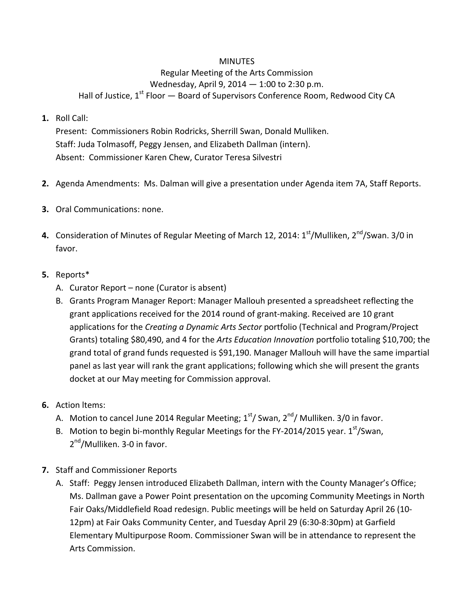## **MINUTES**

## Regular Meeting of the Arts Commission Wednesday, April 9, 2014 — 1:00 to 2:30 p.m. Hall of Justice,  $1^{st}$  Floor  $-$  Board of Supervisors Conference Room, Redwood City CA

## **1.** Roll Call:

Present: Commissioners Robin Rodricks, Sherrill Swan, Donald Mulliken. Staff: Juda Tolmasoff, Peggy Jensen, and Elizabeth Dallman (intern). Absent: Commissioner Karen Chew, Curator Teresa Silvestri

- **2.** Agenda Amendments: Ms. Dalman will give a presentation under Agenda item 7A, Staff Reports.
- **3.** Oral Communications: none.
- **4.** Consideration of Minutes of Regular Meeting of March 12, 2014: 1<sup>st</sup>/Mulliken, 2<sup>nd</sup>/Swan. 3/0 in favor.

## **5.** Reports\*

- A. Curator Report none (Curator is absent)
- B. Grants Program Manager Report: Manager Mallouh presented a spreadsheet reflecting the grant applications received for the 2014 round of grant-making. Received are 10 grant applications for the *Creating a Dynamic Arts Sector* portfolio (Technical and Program/Project Grants) totaling \$80,490, and 4 for the *Arts Education Innovation* portfolio totaling \$10,700; the grand total of grand funds requested is \$91,190. Manager Mallouh will have the same impartial panel as last year will rank the grant applications; following which she will present the grants docket at our May meeting for Commission approval.
- **6.** Action ltems:
	- A. Motion to cancel June 2014 Regular Meeting;  $1<sup>st</sup>$ / Swan,  $2<sup>nd</sup>$ / Mulliken. 3/0 in favor.
	- B. Motion to begin bi-monthly Regular Meetings for the FY-2014/2015 year.  $1<sup>st</sup>/Swan$ , 2<sup>nd</sup>/Mulliken. 3-0 in favor.
- **7.** Staff and Commissioner Reports
	- A. Staff: Peggy Jensen introduced Elizabeth Dallman, intern with the County Manager's Office; Ms. Dallman gave a Power Point presentation on the upcoming Community Meetings in North Fair Oaks/Middlefield Road redesign. Public meetings will be held on Saturday April 26 (10- 12pm) at Fair Oaks Community Center, and Tuesday April 29 (6:30-8:30pm) at Garfield Elementary Multipurpose Room. Commissioner Swan will be in attendance to represent the Arts Commission.